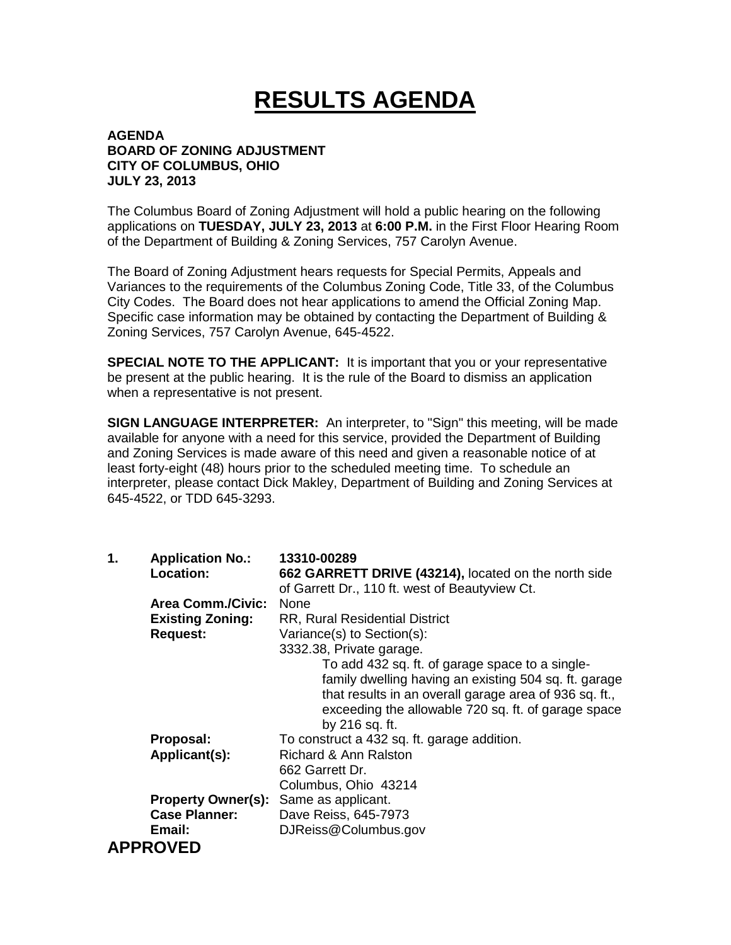## **RESULTS AGENDA**

## **AGENDA BOARD OF ZONING ADJUSTMENT CITY OF COLUMBUS, OHIO JULY 23, 2013**

The Columbus Board of Zoning Adjustment will hold a public hearing on the following applications on **TUESDAY, JULY 23, 2013** at **6:00 P.M.** in the First Floor Hearing Room of the Department of Building & Zoning Services, 757 Carolyn Avenue.

The Board of Zoning Adjustment hears requests for Special Permits, Appeals and Variances to the requirements of the Columbus Zoning Code, Title 33, of the Columbus City Codes. The Board does not hear applications to amend the Official Zoning Map. Specific case information may be obtained by contacting the Department of Building & Zoning Services, 757 Carolyn Avenue, 645-4522.

**SPECIAL NOTE TO THE APPLICANT:** It is important that you or your representative be present at the public hearing. It is the rule of the Board to dismiss an application when a representative is not present.

**SIGN LANGUAGE INTERPRETER:** An interpreter, to "Sign" this meeting, will be made available for anyone with a need for this service, provided the Department of Building and Zoning Services is made aware of this need and given a reasonable notice of at least forty-eight (48) hours prior to the scheduled meeting time. To schedule an interpreter, please contact Dick Makley, Department of Building and Zoning Services at 645-4522, or TDD 645-3293.

| 1. | <b>Application No.:</b><br>Location: | 13310-00289<br>662 GARRETT DRIVE (43214), located on the north side |
|----|--------------------------------------|---------------------------------------------------------------------|
|    |                                      | of Garrett Dr., 110 ft. west of Beautyview Ct.                      |
|    | <b>Area Comm./Civic:</b>             | None                                                                |
|    | <b>Existing Zoning:</b>              | <b>RR, Rural Residential District</b>                               |
|    | <b>Request:</b>                      | Variance(s) to Section(s):                                          |
|    |                                      | 3332.38, Private garage.                                            |
|    |                                      | To add 432 sq. ft. of garage space to a single-                     |
|    |                                      | family dwelling having an existing 504 sq. ft. garage               |
|    |                                      | that results in an overall garage area of 936 sq. ft.,              |
|    |                                      | exceeding the allowable 720 sq. ft. of garage space                 |
|    |                                      | by 216 sq. ft.                                                      |
|    | Proposal:                            | To construct a 432 sq. ft. garage addition.                         |
|    | Applicant(s):                        | <b>Richard &amp; Ann Ralston</b>                                    |
|    |                                      | 662 Garrett Dr.                                                     |
|    |                                      | Columbus, Ohio 43214                                                |
|    | <b>Property Owner(s):</b>            | Same as applicant.                                                  |
|    | <b>Case Planner:</b>                 | Dave Reiss, 645-7973                                                |
|    | Email:                               | DJReiss@Columbus.gov                                                |
|    | <b>APPROVED</b>                      |                                                                     |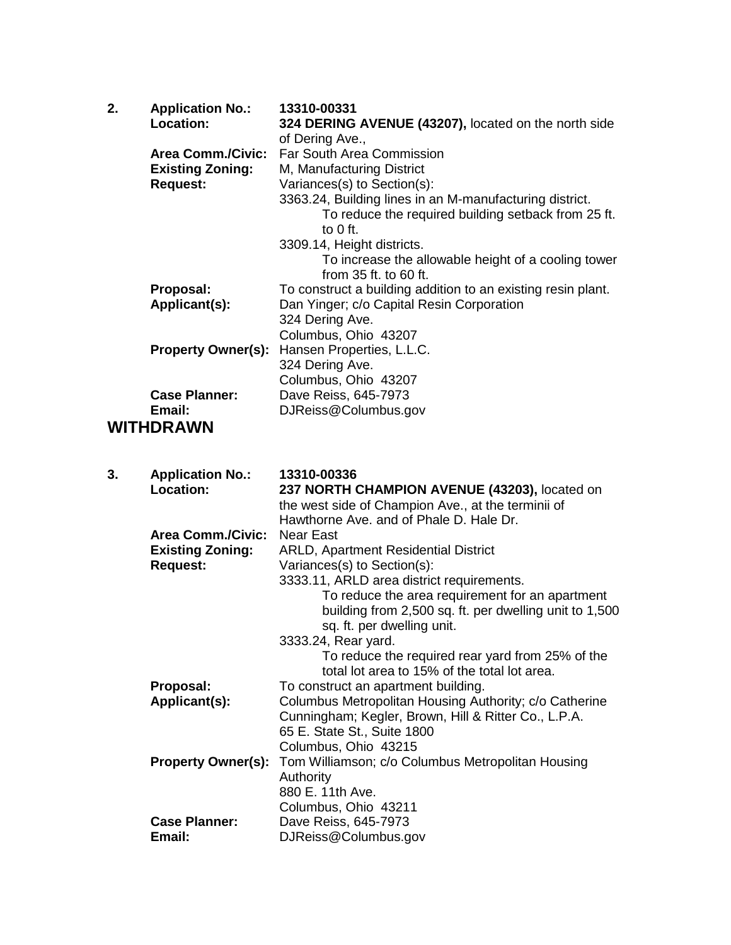| 2. | <b>Application No.:</b>   | 13310-00331                                                  |
|----|---------------------------|--------------------------------------------------------------|
|    | Location:                 | 324 DERING AVENUE (43207), located on the north side         |
|    |                           | of Dering Ave.,                                              |
|    |                           | Area Comm./Civic: Far South Area Commission                  |
|    | <b>Existing Zoning:</b>   | M, Manufacturing District                                    |
|    | <b>Request:</b>           | Variances(s) to Section(s):                                  |
|    |                           | 3363.24, Building lines in an M-manufacturing district.      |
|    |                           | To reduce the required building setback from 25 ft.          |
|    |                           | to $0$ ft.                                                   |
|    |                           | 3309.14, Height districts.                                   |
|    |                           | To increase the allowable height of a cooling tower          |
|    |                           | from $35$ ft. to 60 ft.                                      |
|    | Proposal:                 | To construct a building addition to an existing resin plant. |
|    | Applicant(s):             | Dan Yinger; c/o Capital Resin Corporation                    |
|    |                           | 324 Dering Ave.                                              |
|    |                           | Columbus, Ohio 43207                                         |
|    | <b>Property Owner(s):</b> | Hansen Properties, L.L.C.                                    |
|    |                           | 324 Dering Ave.                                              |
|    |                           | Columbus, Ohio 43207                                         |
|    | <b>Case Planner:</b>      | Dave Reiss, 645-7973                                         |
|    | Email:                    | DJReiss@Columbus.gov                                         |
|    |                           |                                                              |
|    | WITHDRAWN                 |                                                              |

| 3. | <b>Application No.:</b><br>Location: | 13310-00336<br>237 NORTH CHAMPION AVENUE (43203), located on |
|----|--------------------------------------|--------------------------------------------------------------|
|    |                                      | the west side of Champion Ave., at the terminii of           |
|    |                                      | Hawthorne Ave, and of Phale D. Hale Dr.                      |
|    | <b>Area Comm./Civic:</b>             | Near East                                                    |
|    | <b>Existing Zoning:</b>              | <b>ARLD, Apartment Residential District</b>                  |
|    | <b>Request:</b>                      | Variances(s) to Section(s):                                  |
|    |                                      |                                                              |
|    |                                      | 3333.11, ARLD area district requirements.                    |
|    |                                      | To reduce the area requirement for an apartment              |
|    |                                      | building from 2,500 sq. ft. per dwelling unit to 1,500       |
|    |                                      | sq. ft. per dwelling unit.                                   |
|    |                                      | 3333.24, Rear yard.                                          |
|    |                                      | To reduce the required rear yard from 25% of the             |
|    |                                      | total lot area to 15% of the total lot area.                 |
|    | Proposal:                            | To construct an apartment building.                          |
|    | Applicant(s):                        | Columbus Metropolitan Housing Authority; c/o Catherine       |
|    |                                      | Cunningham; Kegler, Brown, Hill & Ritter Co., L.P.A.         |
|    |                                      | 65 E. State St., Suite 1800                                  |
|    |                                      | Columbus, Ohio 43215                                         |
|    | <b>Property Owner(s):</b>            | Tom Williamson; c/o Columbus Metropolitan Housing            |
|    |                                      | Authority                                                    |
|    |                                      | 880 E. 11th Ave.                                             |
|    |                                      | Columbus, Ohio 43211                                         |
|    | <b>Case Planner:</b>                 | Dave Reiss, 645-7973                                         |
|    | Email:                               | DJReiss@Columbus.gov                                         |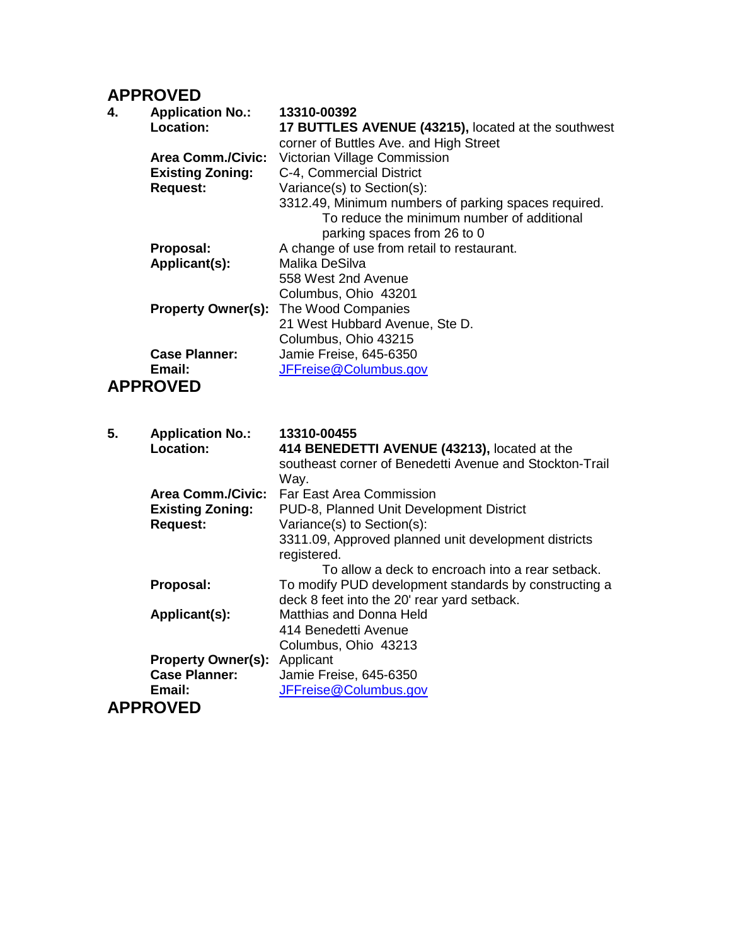## **APPROVED**

| 4. | <b>Application No.:</b>  | 13310-00392                                          |
|----|--------------------------|------------------------------------------------------|
|    | Location:                | 17 BUTTLES AVENUE (43215), located at the southwest  |
|    |                          | corner of Buttles Ave. and High Street               |
|    | <b>Area Comm./Civic:</b> | Victorian Village Commission                         |
|    | <b>Existing Zoning:</b>  | C-4, Commercial District                             |
|    | <b>Request:</b>          | Variance(s) to Section(s):                           |
|    |                          | 3312.49, Minimum numbers of parking spaces required. |
|    |                          | To reduce the minimum number of additional           |
|    |                          | parking spaces from 26 to 0                          |
|    | Proposal:                | A change of use from retail to restaurant.           |
|    | Applicant(s):            | Malika DeSilva                                       |
|    |                          | 558 West 2nd Avenue                                  |
|    |                          | Columbus, Ohio 43201                                 |
|    |                          | <b>Property Owner(s): The Wood Companies</b>         |
|    |                          | 21 West Hubbard Avenue, Ste D.                       |
|    |                          | Columbus, Ohio 43215                                 |
|    | <b>Case Planner:</b>     | Jamie Freise, 645-6350                               |
|    | Email:                   | JFFreise@Columbus.gov                                |
|    | <b>APPROVED</b>          |                                                      |

| 5. | <b>Application No.:</b>   | 13310-00455                                             |
|----|---------------------------|---------------------------------------------------------|
|    | Location:                 | 414 BENEDETTI AVENUE (43213), located at the            |
|    |                           | southeast corner of Benedetti Avenue and Stockton-Trail |
|    |                           | Way.                                                    |
|    | <b>Area Comm./Civic:</b>  | Far East Area Commission                                |
|    | <b>Existing Zoning:</b>   | PUD-8, Planned Unit Development District                |
|    | <b>Request:</b>           | Variance(s) to Section(s):                              |
|    |                           | 3311.09, Approved planned unit development districts    |
|    |                           | registered.                                             |
|    |                           | To allow a deck to encroach into a rear setback.        |
|    | Proposal:                 | To modify PUD development standards by constructing a   |
|    |                           | deck 8 feet into the 20' rear yard setback.             |
|    | Applicant(s):             | Matthias and Donna Held                                 |
|    |                           | 414 Benedetti Avenue                                    |
|    |                           | Columbus, Ohio 43213                                    |
|    | <b>Property Owner(s):</b> | Applicant                                               |
|    | <b>Case Planner:</b>      | Jamie Freise, 645-6350                                  |
|    | Email:                    | JFFreise@Columbus.gov                                   |
|    | <b>APPROVED</b>           |                                                         |